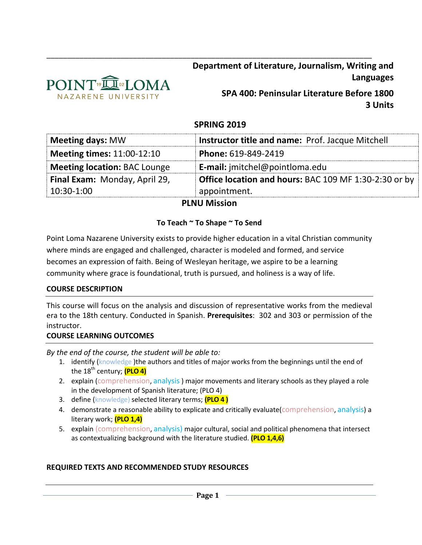

**Department of Literature, Journalism, Writing and Languages**

> **SPA 400: Peninsular Literature Before 1800 3 Units**

# **SPRING 2019**

\_\_\_\_\_\_\_\_\_\_\_\_\_\_\_\_\_\_\_\_\_\_\_\_\_\_\_\_\_\_\_\_\_\_\_\_\_\_\_\_\_\_\_\_\_\_\_\_\_\_\_\_\_\_\_\_\_\_\_\_\_\_\_\_\_\_\_\_\_\_\_\_\_\_\_\_\_\_\_

| Meeting days: MW                  | Instructor title and name: Prof. Jacque Mitchell             |
|-----------------------------------|--------------------------------------------------------------|
| <b>Meeting times: 11:00-12:10</b> | Phone: 619-849-2419                                          |
| Meeting location: BAC Lounge      | <b>E-mail:</b> jmitchel@pointloma.edu                        |
| Final Exam: Monday, April 29,     | <b>Office location and hours: BAC 109 MF 1:30-2:30 or by</b> |
| $10:30-1:00$                      | appointment.                                                 |

### **PLNU Mission**

### **To Teach ~ To Shape ~ To Send**

Point Loma Nazarene University exists to provide higher education in a vital Christian community where minds are engaged and challenged, character is modeled and formed, and service becomes an expression of faith. Being of Wesleyan heritage, we aspire to be a learning community where grace is foundational, truth is pursued, and holiness is a way of life.

### **COURSE DESCRIPTION**

This course will focus on the analysis and discussion of representative works from the medieval era to the 18th century. Conducted in Spanish. **Prerequisites**: 302 and 303 or permission of the instructor.

### **COURSE LEARNING OUTCOMES**

*By the end of the course, the student will be able to:*

- 1. identify (knowledge) the authors and titles of major works from the beginnings until the end of the 18<sup>th</sup> century; **(PLO 4)**
- 2. explain (comprehension, analysis) major movements and literary schools as they played a role in the development of Spanish literature; (PLO 4)
- 3. define (knowledge) selected literary terms; **(PLO 4 )**
- 4. demonstrate a reasonable ability to explicate and critically evaluate (comprehension, analysis) a literary work; **(PLO 1,4)**
- 5. explain (comprehension, analysis) major cultural, social and political phenomena that intersect as contextualizing background with the literature studied. **(PLO 1,4,6)**

### **REQUIRED TEXTS AND RECOMMENDED STUDY RESOURCES**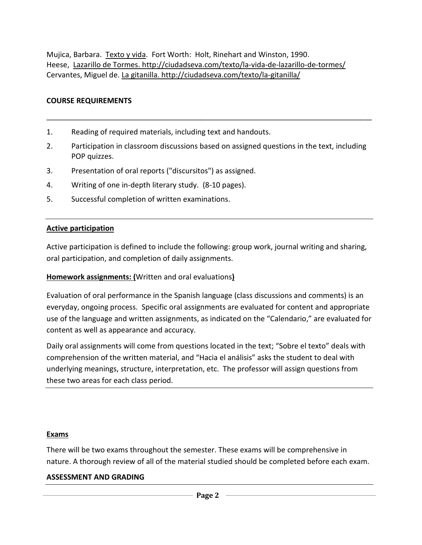Mujica, Barbara. Texto y vida. Fort Worth: Holt, Rinehart and Winston, 1990. Heese, Lazarillo de Tormes. http://ciudadseva.com/texto/la-vida-de-lazarillo-de-tormes/ Cervantes, Miguel de. La gitanilla. http://ciudadseva.com/texto/la-gitanilla/

# **COURSE REQUIREMENTS**

- 1. Reading of required materials, including text and handouts.
- 2. Participation in classroom discussions based on assigned questions in the text, including POP quizzes.

\_\_\_\_\_\_\_\_\_\_\_\_\_\_\_\_\_\_\_\_\_\_\_\_\_\_\_\_\_\_\_\_\_\_\_\_\_\_\_\_\_\_\_\_\_\_\_\_\_\_\_\_\_\_\_\_\_\_\_\_\_\_\_\_\_\_\_\_\_\_\_\_\_\_\_\_\_\_\_

- 3. Presentation of oral reports ("discursitos") as assigned.
- 4. Writing of one in-depth literary study. (8-10 pages).
- 5. Successful completion of written examinations.

### **Active participation**

Active participation is defined to include the following: group work, journal writing and sharing, oral participation, and completion of daily assignments.

## **Homework assignments: (**Written and oral evaluations**)**

Evaluation of oral performance in the Spanish language (class discussions and comments) is an everyday, ongoing process. Specific oral assignments are evaluated for content and appropriate use of the language and written assignments, as indicated on the "Calendario," are evaluated for content as well as appearance and accuracy.

Daily oral assignments will come from questions located in the text; "Sobre el texto" deals with comprehension of the written material, and "Hacia el análisis" asks the student to deal with underlying meanings, structure, interpretation, etc. The professor will assign questions from these two areas for each class period.

### **Exams**

There will be two exams throughout the semester. These exams will be comprehensive in nature. A thorough review of all of the material studied should be completed before each exam.

## **ASSESSMENT AND GRADING**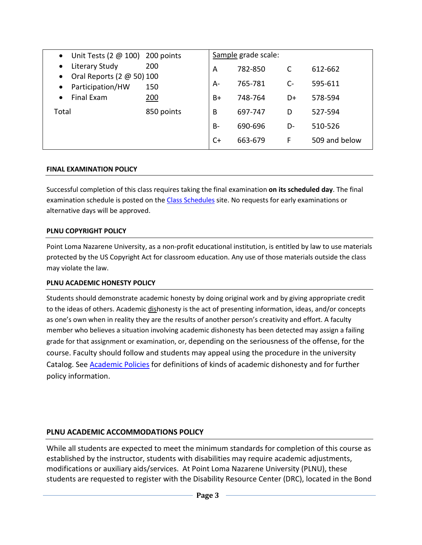| Unit Tests (2 $@$ 100) 200 points<br>$\bullet$ |            |      | Sample grade scale: |      |               |
|------------------------------------------------|------------|------|---------------------|------|---------------|
| Literary Study<br>$\bullet$                    | 200        | A    | 782-850             |      | 612-662       |
| Oral Reports (2 @ 50) 100<br>$\bullet$         |            |      |                     |      |               |
| Participation/HW<br>$\bullet$                  | 150        | $A-$ | 765-781             | $C-$ | 595-611       |
| Final Exam<br>$\bullet$                        | 200        | $B+$ | 748-764             | D+   | 578-594       |
| Total                                          | 850 points | B    | 697-747             | D    | 527-594       |
|                                                |            | $B-$ | 690-696             | D-   | 510-526       |
|                                                |            | $C+$ | 663-679             | F    | 509 and below |

#### **FINAL EXAMINATION POLICY**

Successful completion of this class requires taking the final examination **on its scheduled day**. The final examination schedule is posted on the [Class Schedules](http://www.pointloma.edu/experience/academics/class-schedules) site. No requests for early examinations or alternative days will be approved.

#### **PLNU COPYRIGHT POLICY**

Point Loma Nazarene University, as a non-profit educational institution, is entitled by law to use materials protected by the US Copyright Act for classroom education. Any use of those materials outside the class may violate the law.

### **PLNU ACADEMIC HONESTY POLICY**

Students should demonstrate academic honesty by doing original work and by giving appropriate credit to the ideas of others. Academic dishonesty is the act of presenting information, ideas, and/or concepts as one's own when in reality they are the results of another person's creativity and effort. A faculty member who believes a situation involving academic dishonesty has been detected may assign a failing grade for that assignment or examination, or, depending on the seriousness of the offense, for the course. Faculty should follow and students may appeal using the procedure in the university Catalog. See [Academic Policies](http://catalog.pointloma.edu/content.php?catoid=18&navoid=1278) for definitions of kinds of academic dishonesty and for further policy information.

## **PLNU ACADEMIC ACCOMMODATIONS POLICY**

While all students are expected to meet the minimum standards for completion of this course as established by the instructor, students with disabilities may require academic adjustments, modifications or auxiliary aids/services. At Point Loma Nazarene University (PLNU), these students are requested to register with the Disability Resource Center (DRC), located in the Bond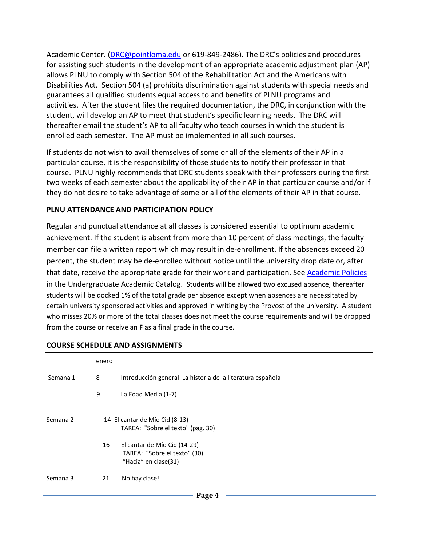Academic Center. [\(DRC@pointloma.edu](mailto:DRC@pointloma.edu) or 619-849-2486). The DRC's policies and procedures for assisting such students in the development of an appropriate academic adjustment plan (AP) allows PLNU to comply with Section 504 of the Rehabilitation Act and the Americans with Disabilities Act. Section 504 (a) prohibits discrimination against students with special needs and guarantees all qualified students equal access to and benefits of PLNU programs and activities. After the student files the required documentation, the DRC, in conjunction with the student, will develop an AP to meet that student's specific learning needs. The DRC will thereafter email the student's AP to all faculty who teach courses in which the student is enrolled each semester. The AP must be implemented in all such courses.

If students do not wish to avail themselves of some or all of the elements of their AP in a particular course, it is the responsibility of those students to notify their professor in that course. PLNU highly recommends that DRC students speak with their professors during the first two weeks of each semester about the applicability of their AP in that particular course and/or if they do not desire to take advantage of some or all of the elements of their AP in that course.

### **PLNU ATTENDANCE AND PARTICIPATION POLICY**

Regular and punctual attendance at all classes is considered essential to optimum academic achievement. If the student is absent from more than 10 percent of class meetings, the faculty member can file a written report which may result in de-enrollment. If the absences exceed 20 percent, the student may be de-enrolled without notice until the university drop date or, after that date, receive the appropriate grade for their work and participation. Se[e Academic Policies](http://catalog.pointloma.edu/content.php?catoid=18&navoid=1278) in the Undergraduate Academic Catalog. Students will be allowed two excused absence, thereafter students will be docked 1% of the total grade per absence except when absences are necessitated by certain university sponsored activities and approved in writing by the Provost of the university. A student who misses 20% or more of the total classes does not meet the course requirements and will be dropped from the course or receive an **F** as a final grade in the course.

|          | enero |                                                                                      |
|----------|-------|--------------------------------------------------------------------------------------|
| Semana 1 | 8     | Introducción general La historia de la literatura española                           |
|          | 9     | La Edad Media (1-7)                                                                  |
| Semana 2 |       | 14 El cantar de Mío Cid (8-13)<br>TAREA: "Sobre el texto" (pag. 30)                  |
|          | 16    | El cantar de Mío Cid (14-29)<br>TAREA: "Sobre el texto" (30)<br>"Hacia" en clase(31) |
| Semana 3 | 21    | No hay clase!                                                                        |
|          |       | $\mathbf{p}_{\mathbf{0}}$ of $\mathbf{A}$                                            |

#### **COURSE SCHEDULE AND ASSIGNMENTS**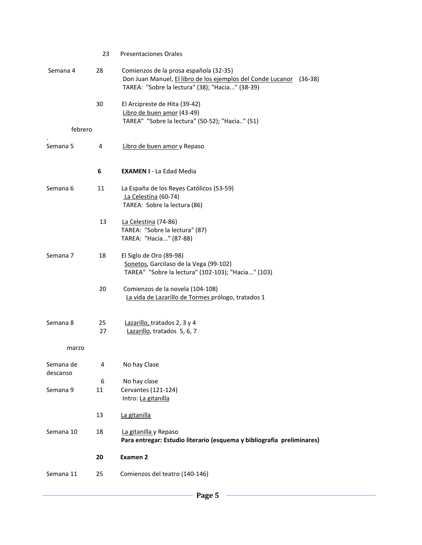|                       | 23      | <b>Presentaciones Orales</b>                                                                                                                                          |
|-----------------------|---------|-----------------------------------------------------------------------------------------------------------------------------------------------------------------------|
| Semana 4              | 28      | Comienzos de la prosa española (32-35)<br>Don Juan Manuel, El libro de los ejemplos del Conde Lucanor<br>$(36-38)$<br>TAREA: "Sobre la lectura" (38); "Hacia" (38-39) |
|                       | 30      | El Arcipreste de Hita (39-42)<br>Libro de buen amor (43-49)<br>TAREA" "Sobre la lectura" (50-52); "Hacia" (51)                                                        |
| febrero               |         |                                                                                                                                                                       |
| Semana 5              | 4       | Libro de buen amor y Repaso                                                                                                                                           |
|                       | 6       | <b>EXAMEN I - La Edad Media</b>                                                                                                                                       |
| Semana 6              | 11      | La España de los Reyes Católicos (53-59)<br>La Celestina (60-74)<br>TAREA: Sobre la lectura (86)                                                                      |
|                       | 13      | La Celestina (74-86)<br>TAREA: "Sobre la lectura" (87)<br>TAREA: "Hacia" (87-88)                                                                                      |
| Semana 7              | 18      | El Siglo de Oro (89-98)<br>Sonetos, Garcilaso de la Vega (99-102)<br>TAREA" "Sobre la lectura" (102-103); "Hacia" (103)                                               |
|                       | 20      | Comienzos de la novela (104-108)<br>La vida de Lazarillo de Tormes prólogo, tratados 1                                                                                |
| Semana 8              | 25      | Lazarillo, tratados 2, 3 y 4                                                                                                                                          |
|                       | 27      | Lazarillo, tratados 5, 6, 7                                                                                                                                           |
| marzo                 |         |                                                                                                                                                                       |
| Semana de<br>descanso | 4       | No hay Clase                                                                                                                                                          |
| Semana 9              | 6<br>11 | No hay clase<br>Cervantes (121-124)<br>Intro: La gitanilla                                                                                                            |
|                       | 13      | La gitanilla                                                                                                                                                          |
| Semana 10             | 18      | La gitanilla y Repaso<br>Para entregar: Estudio literario (esquema y bibliografía preliminares)                                                                       |
|                       | 20      | <b>Examen 2</b>                                                                                                                                                       |
| Semana 11             | 25      | Comienzos del teatro (140-146)                                                                                                                                        |